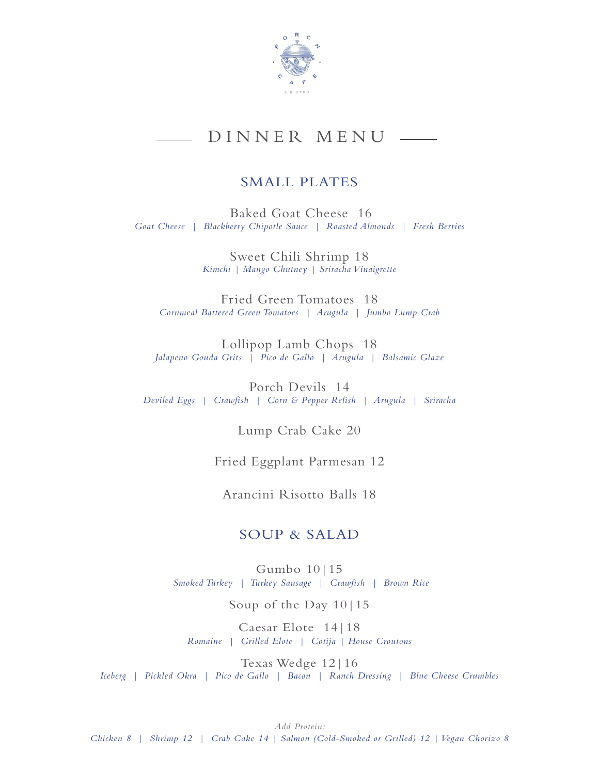

# DINNER MENU

## SMALL PLATES

Baked Goat Cheese 16 *Goat Cheese | Blackberry Chipotle Sauce | Roasted Almonds | Fresh Berries*

> Sweet Chili Shrimp 18 *Kimchi | Mango Chutney | Sriracha Vinaigrette*

Fried Green Tomatoes 18 *Cornmeal Battered Green Tomatoes | Arugula | Jumbo Lump Crab* 

Lollipop Lamb Chops 18 *Jalapeno Gouda Grits | Pico de Gallo | Arugula | Balsamic Glaze* 

Porch Devils 14 *Deviled Eggs | Crawfish | Corn & Pepper Relish | Arugula | Sriracha* 

Lump Crab Cake 20

Fried Eggplant Parmesan 12

Arancini Risotto Balls 18

### SOUP & SALAD

Gumbo 10|15 *Smoked Turkey | Turkey Sausage | Crawfish | Brown Rice*

Soup of the Day 10|15

Caesar Elote 14|18 *Romaine | Grilled Elote | Cotija | House Croutons* 

Texas Wedge 12|16 *Iceberg | Pickled Okra | Pico de Gallo | Bacon | Ranch Dressing | Blue Cheese Crumbles*